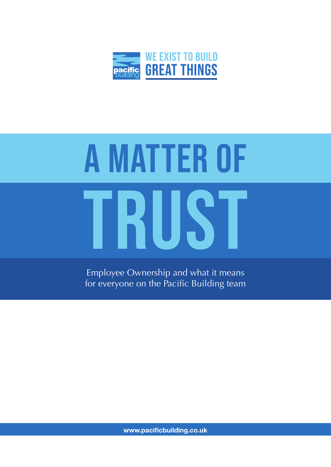

# TRUST A MATTER OF

Employee Ownership and what it means for everyone on the Pacific Building team

**www.pacificbuilding.co.uk**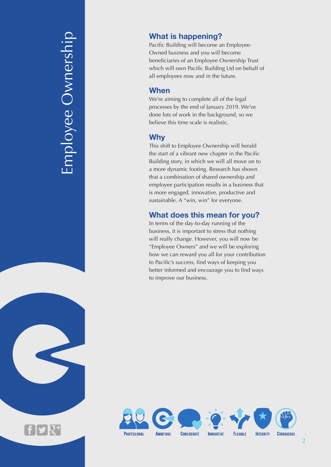Employee Ownership mployee Ownership

# **What is happening?**

Pacific Building will become an Employee-Owned business and you will become beneficiaries of an Employee Ownership Trust which will own Pacific Building Ltd on behalf of all employees now and in the future.

# **When**

We're aiming to complete all of the legal processes by the end of January 2019. We've done lots of work in the background, so we believe this time scale is realistic.

# **Why**

This shift to Employee Ownership will herald the start of a vibrant new chapter in the Pacific Building story, in which we will all move on to a more dynamic footing. Research has shown that a combination of shared ownership and employee participation results in a business that is more engaged, innovative, productive and sustainable. A "win, win" for everyone.

# **What does this mean for you?**

In terms of the day-to-day running of the business, it is important to stress that nothing will really change. However, you will now be "Employee Owners" and we will be exploring how we can reward you all for your contribution to Pacific's success, find ways of keeping you better informed and encourage you to find ways to improve our business.

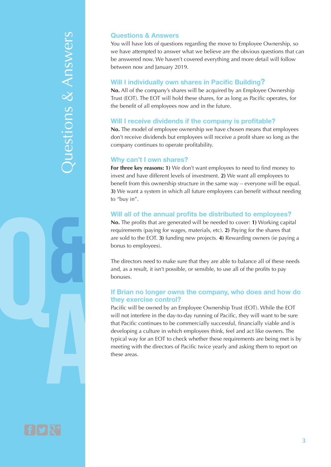# Questions & Answers Questions & Answers

### **Questions & Answers**

You will have lots of questions regarding the move to Employee Ownership, so we have attempted to answer what we believe are the obvious questions that can be answered now. We haven't covered everything and more detail will follow between now and January 2019.

### **Will I individually own shares in Pacific Building?**

**No.** All of the company's shares will be acquired by an Employee Ownership Trust (EOT). The EOT will hold these shares, for as long as Pacific operates, for the benefit of all employees now and in the future.

### **Will I receive dividends if the company is profitable?**

**No.** The model of employee ownership we have chosen means that employees don't receive dividends but employees will receive a profit share so long as the company continues to operate profitability.

### **Why can't I own shares?**

**For three key reasons: 1)** We don't want employees to need to find money to invest and have different levels of investment. **2)** We want all employees to benefit from this ownership structure in the same way – everyone will be equal. **3)** We want a system in which all future employees can benefit without needing to "buy in".

### **Will all of the annual profits be distributed to employees?**

**No.** The profits that are generated will be needed to cover: **1)** Working capital requirements (paying for wages, materials, etc). **2)** Paying for the shares that are sold to the EOT. **3)** funding new projects. **4)** Rewarding owners (ie paying a bonus to employees).

The directors need to make sure that they are able to balance all of these needs and, as a result, it isn't possible, or sensible, to use all of the profits to pay bonuses.

### **If Brian no longer owns the company, who does and how do they exercise control?**

Pacific will be owned by an Employee Ownership Trust (EOT). While the EOT will not interfere in the day-to-day running of Pacific, they will want to be sure that Pacific continues to be commercially successful, financially viable and is developing a culture in which employees think, feel and act like owners. The typical way for an EOT to check whether these requirements are being met is by meeting with the directors of Pacific twice yearly and asking them to report on these areas.